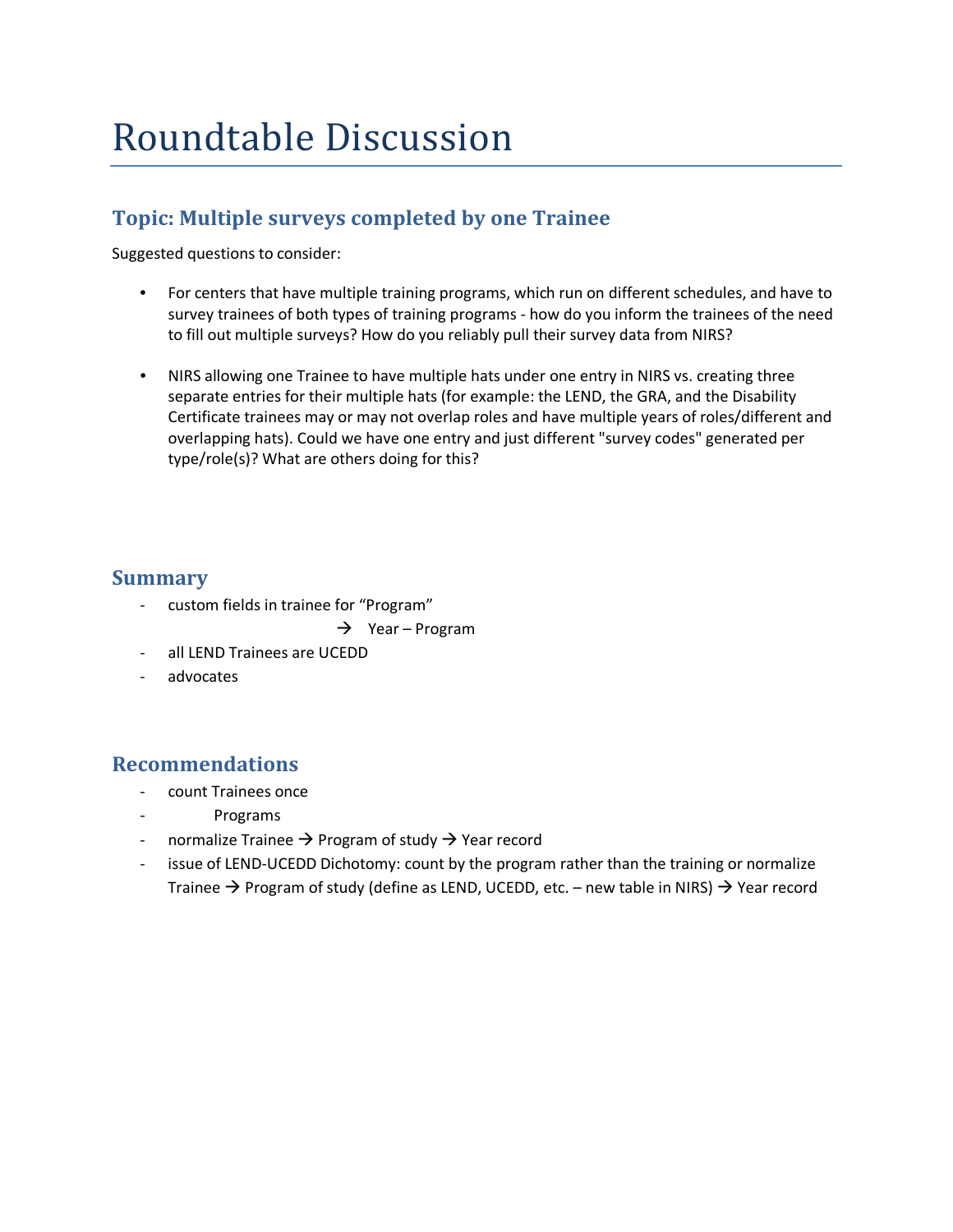# Roundtable Discussion

### **Topic: Multiple surveys completed by one Trainee**

Suggested questions to consider:

- For centers that have multiple training programs, which run on different schedules, and have to survey trainees of both types of training programs - how do you inform the trainees of the need to fill out multiple surveys? How do you reliably pull their survey data from NIRS?
- NIRS allowing one Trainee to have multiple hats under one entry in NIRS vs. creating three separate entries for their multiple hats (for example: the LEND, the GRA, and the Disability Certificate trainees may or may not overlap roles and have multiple years of roles/different and overlapping hats). Could we have one entry and just different "survey codes" generated per type/role(s)? What are others doing for this?

#### **Summary**

- custom fields in trainee for "Program"
	- $\rightarrow$  Year Program
- all LEND Trainees are UCEDD
- advocates

### **Recommendations**

- count Trainees once
- Programs
- normalize Trainee  $\rightarrow$  Program of study  $\rightarrow$  Year record
- issue of LEND-UCEDD Dichotomy: count by the program rather than the training or normalize Trainee  $\rightarrow$  Program of study (define as LEND, UCEDD, etc. – new table in NIRS)  $\rightarrow$  Year record